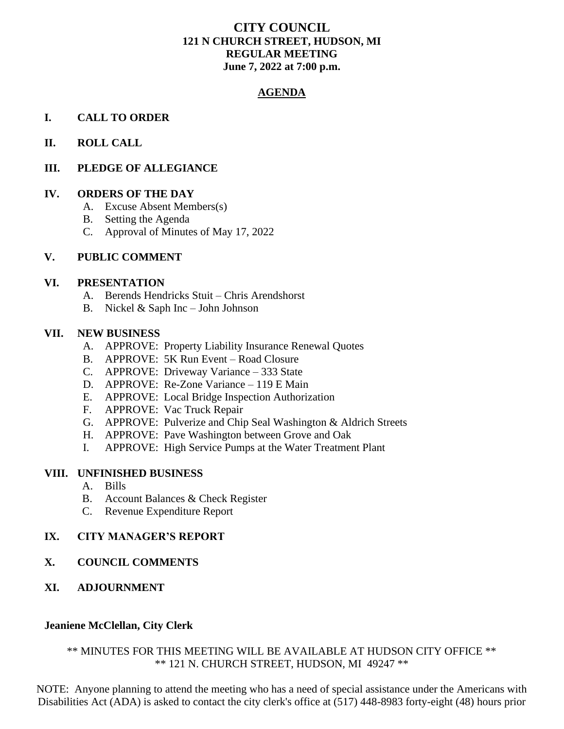# **CITY COUNCIL 121 N CHURCH STREET, HUDSON, MI REGULAR MEETING June 7, 2022 at 7:00 p.m.**

## **AGENDA**

## **I. CALL TO ORDER**

## **II. ROLL CALL**

## **III. PLEDGE OF ALLEGIANCE**

## **IV. ORDERS OF THE DAY**

- A. Excuse Absent Members(s)
- B. Setting the Agenda
- C. Approval of Minutes of May 17, 2022

### **V. PUBLIC COMMENT**

#### **VI. PRESENTATION**

- A. Berends Hendricks Stuit Chris Arendshorst
- B. Nickel & Saph Inc John Johnson

#### **VII. NEW BUSINESS**

- A. APPROVE: Property Liability Insurance Renewal Quotes
- B. APPROVE: 5K Run Event Road Closure
- C. APPROVE: Driveway Variance 333 State
- D. APPROVE: Re-Zone Variance 119 E Main
- E. APPROVE: Local Bridge Inspection Authorization
- F. APPROVE: Vac Truck Repair
- G. APPROVE: Pulverize and Chip Seal Washington & Aldrich Streets
- H. APPROVE: Pave Washington between Grove and Oak
- I. APPROVE: High Service Pumps at the Water Treatment Plant

### **VIII. UNFINISHED BUSINESS**

- A. Bills
- B. Account Balances & Check Register
- C. Revenue Expenditure Report

## **IX. CITY MANAGER'S REPORT**

**X. COUNCIL COMMENTS** 

## **XI. ADJOURNMENT**

### **Jeaniene McClellan, City Clerk**

# \*\* MINUTES FOR THIS MEETING WILL BE AVAILABLE AT HUDSON CITY OFFICE \*\* \*\* 121 N. CHURCH STREET, HUDSON, MI 49247 \*\*

NOTE: Anyone planning to attend the meeting who has a need of special assistance under the Americans with Disabilities Act (ADA) is asked to contact the city clerk's office at (517) 448-8983 forty-eight (48) hours prior